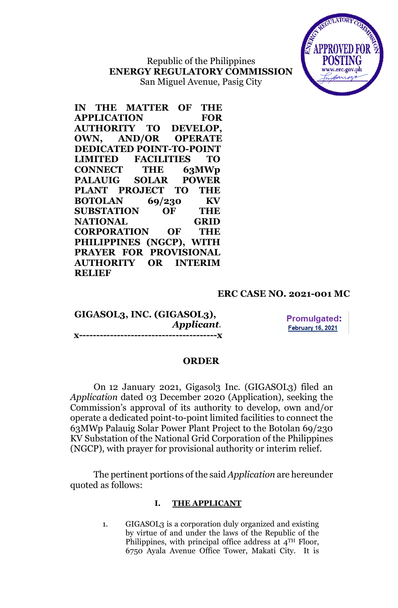

Republic of the Philippines **ENERGY REGULATORY COMMISSION** San Miguel Avenue, Pasig City

**IN THE MATTER OF THE APPLICATION FOR AUTHORITY TO DEVELOP, OWN, AND/OR OPERATE DEDICATED POINT-TO-POINT LIMITED FACILITIES TO CONNECT THE 63MWp PALAUIG SOLAR POWER PLANT PROJECT TO THE BOTOLAN 69/230 KV SUBSTATION OF THE NATIONAL GRID CORPORATION OF THE PHILIPPINES (NGCP), WITH PRAYER FOR PROVISIONAL AUTHORITY OR INTERIM RELIEF**

## **ERC CASE NO. 2021-001 MC**

**GIGASOL3, INC. (GIGASOL3),** *Applicant.* **x----------------------------------------x**

**Promulgated: February 16, 2021** 

#### **ORDER**

On 12 January 2021, Gigasol3 Inc. (GIGASOL3) filed an *Application* dated 03 December 2020 (Application), seeking the Commission's approval of its authority to develop, own and/or operate a dedicated point-to-point limited facilities to connect the 63MWp Palauig Solar Power Plant Project to the Botolan 69/230 KV Substation of the National Grid Corporation of the Philippines (NGCP), with prayer for provisional authority or interim relief.

The pertinent portions of the said *Application* are hereunder quoted as follows:

### **I. THE APPLICANT**

1. GIGASOL3 is a corporation duly organized and existing by virtue of and under the laws of the Republic of the Philippines, with principal office address at 4TH Floor, 6750 Ayala Avenue Office Tower, Makati City. It is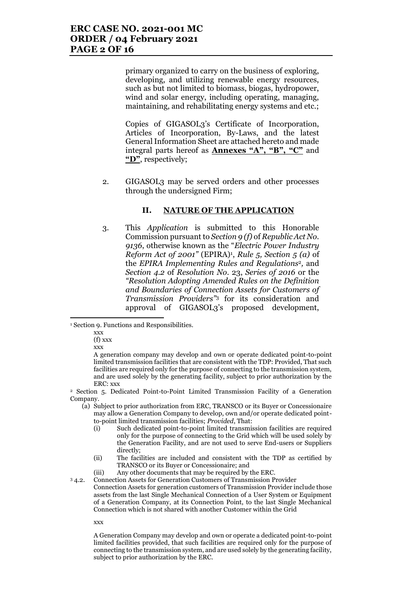primary organized to carry on the business of exploring, developing, and utilizing renewable energy resources, such as but not limited to biomass, biogas, hydropower, wind and solar energy, including operating, managing, maintaining, and rehabilitating energy systems and etc.;

Copies of GIGASOL3's Certificate of Incorporation, Articles of Incorporation, By-Laws, and the latest General Information Sheet are attached hereto and made integral parts hereof as **Annexes "A", "B", "C"** and **"D"**, respectively;

2. GIGASOL3 may be served orders and other processes through the undersigned Firm;

#### **II. NATURE OF THE APPLICATION**

3. This *Application* is submitted to this Honorable Commission pursuant to *Section 9 (f)* of *Republic Act No. 9136*, otherwise known as the "*Electric Power Industry Reform Act of 2001"* (EPIRA)<sup>1</sup> , *Rule 5, Section 5 (a)* of the *EPIRA Implementing Rules and Regulations*2*,* and *Section 4.2* of *Resolution No*. 23, *Series of 2016* or the *"Resolution Adopting Amended Rules on the Definition and Boundaries of Connection Assets for Customers of Transmission Providers"*<sup>3</sup> for its consideration and approval of GIGASOL3's proposed development,

<sup>1</sup> Section 9. Functions and Responsibilities.

xxx

l

(f) xxx

xxx

A generation company may develop and own or operate dedicated point-to-point limited transmission facilities that are consistent with the TDP: Provided, That such facilities are required only for the purpose of connecting to the transmission system, and are used solely by the generating facility, subject to prior authorization by the ERC: xxx

<sup>2</sup> Section 5. Dedicated Point-to-Point Limited Transmission Facility of a Generation Company.

- (a) Subject to prior authorization from ERC, TRANSCO or its Buyer or Concessionaire may allow a Generation Company to develop, own and/or operate dedicated pointto-point limited transmission facilities; *Provided*, That:
	- (i) Such dedicated point-to-point limited transmission facilities are required only for the purpose of connecting to the Grid which will be used solely by the Generation Facility, and are not used to serve End-users or Suppliers directly;
	- (ii) The facilities are included and consistent with the TDP as certified by TRANSCO or its Buyer or Concessionaire; and
	- (iii) Any other documents that may be required by the ERC.

<sup>3</sup> 4.2. Connection Assets for Generation Customers of Transmission Provider Connection Assets for generation customers of Transmission Provider include those assets from the last Single Mechanical Connection of a User System or Equipment of a Generation Company, at its Connection Point, to the last Single Mechanical Connection which is not shared with another Customer within the Grid

xxx

A Generation Company may develop and own or operate a dedicated point-to-point limited facilities provided, that such facilities are required only for the purpose of connecting to the transmission system, and are used solely by the generating facility, subject to prior authorization by the ERC.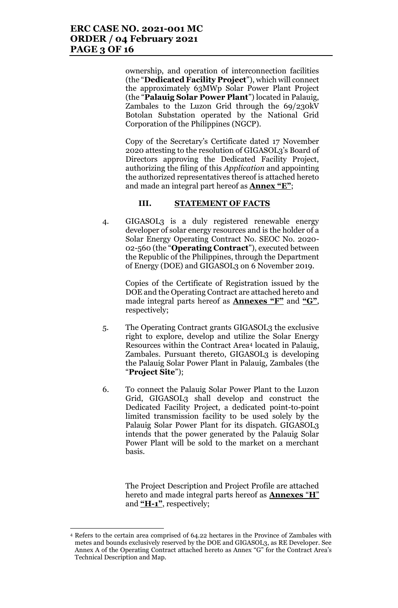ownership, and operation of interconnection facilities (the "**Dedicated Facility Project**"), which will connect the approximately 63MWp Solar Power Plant Project (the "**Palauig Solar Power Plant**") located in Palauig, Zambales to the Luzon Grid through the 69/230kV Botolan Substation operated by the National Grid Corporation of the Philippines (NGCP).

Copy of the Secretary's Certificate dated 17 November 2020 attesting to the resolution of GIGASOL3's Board of Directors approving the Dedicated Facility Project, authorizing the filing of this *Application* and appointing the authorized representatives thereof is attached hereto and made an integral part hereof as **Annex "E"**;

#### **III. STATEMENT OF FACTS**

4. GIGASOL3 is a duly registered renewable energy developer of solar energy resources and is the holder of a Solar Energy Operating Contract No. SEOC No. 2020- 02-560 (the "**Operating Contract**"), executed between the Republic of the Philippines, through the Department of Energy (DOE) and GIGASOL3 on 6 November 2019.

> Copies of the Certificate of Registration issued by the DOE and the Operating Contract are attached hereto and made integral parts hereof as **Annexes "F"** and **"G"**, respectively;

- 5. The Operating Contract grants GIGASOL3 the exclusive right to explore, develop and utilize the Solar Energy Resources within the Contract Area<sup>4</sup> located in Palauig, Zambales. Pursuant thereto, GIGASOL3 is developing the Palauig Solar Power Plant in Palauig, Zambales (the "**Project Site**");
- 6. To connect the Palauig Solar Power Plant to the Luzon Grid, GIGASOL3 shall develop and construct the Dedicated Facility Project, a dedicated point-to-point limited transmission facility to be used solely by the Palauig Solar Power Plant for its dispatch. GIGASOL3 intends that the power generated by the Palauig Solar Power Plant will be sold to the market on a merchant basis.

The Project Description and Project Profile are attached hereto and made integral parts hereof as **Annexes** "**H**" and **"H-1"**, respectively;

 $\overline{a}$ 

<sup>4</sup> Refers to the certain area comprised of 64.22 hectares in the Province of Zambales with metes and bounds exclusively reserved by the DOE and GIGASOL3, as RE Developer. See Annex A of the Operating Contract attached hereto as Annex "G" for the Contract Area's Technical Description and Map.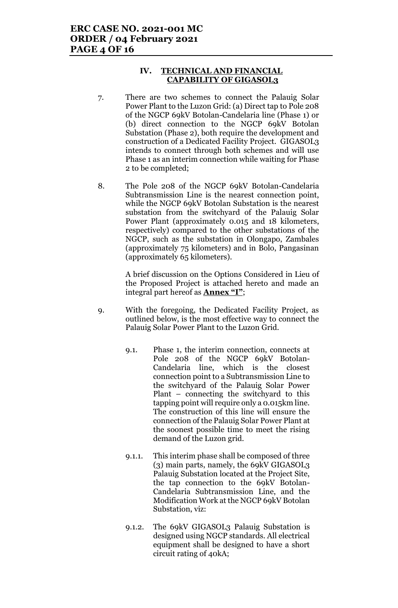#### **IV. TECHNICAL AND FINANCIAL CAPABILITY OF GIGASOL3**

- 7. There are two schemes to connect the Palauig Solar Power Plant to the Luzon Grid: (a) Direct tap to Pole 208 of the NGCP 69kV Botolan-Candelaria line (Phase 1) or (b) direct connection to the NGCP 69kV Botolan Substation (Phase 2), both require the development and construction of a Dedicated Facility Project. GIGASOL3 intends to connect through both schemes and will use Phase 1 as an interim connection while waiting for Phase 2 to be completed;
- 8. The Pole 208 of the NGCP 69kV Botolan-Candelaria Subtransmission Line is the nearest connection point, while the NGCP 69kV Botolan Substation is the nearest substation from the switchyard of the Palauig Solar Power Plant (approximately 0.015 and 18 kilometers, respectively) compared to the other substations of the NGCP, such as the substation in Olongapo, Zambales (approximately 75 kilometers) and in Bolo, Pangasinan (approximately 65 kilometers).

A brief discussion on the Options Considered in Lieu of the Proposed Project is attached hereto and made an integral part hereof as **Annex "I"**;

- 9. With the foregoing, the Dedicated Facility Project, as outlined below, is the most effective way to connect the Palauig Solar Power Plant to the Luzon Grid.
	- 9.1. Phase 1, the interim connection, connects at Pole 208 of the NGCP 69kV Botolan-Candelaria line, which is the closest connection point to a Subtransmission Line to the switchyard of the Palauig Solar Power Plant – connecting the switchyard to this tapping point will require only a 0.015km line. The construction of this line will ensure the connection of the Palauig Solar Power Plant at the soonest possible time to meet the rising demand of the Luzon grid.
	- 9.1.1. This interim phase shall be composed of three (3) main parts, namely, the 69kV GIGASOL3 Palauig Substation located at the Project Site, the tap connection to the 69kV Botolan-Candelaria Subtransmission Line, and the Modification Work at the NGCP 69kV Botolan Substation, viz:
	- 9.1.2. The 69kV GIGASOL3 Palauig Substation is designed using NGCP standards. All electrical equipment shall be designed to have a short circuit rating of 40kA;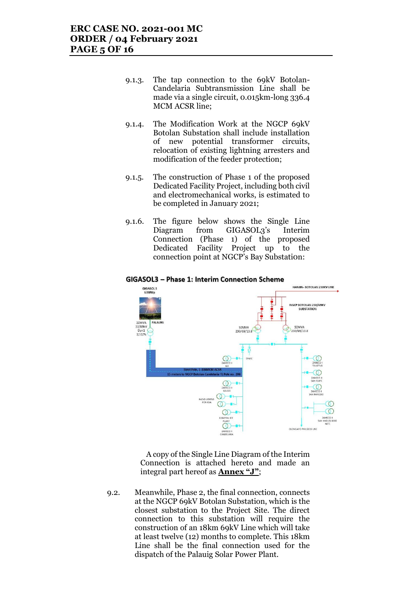- 9.1.3. The tap connection to the 69kV Botolan-Candelaria Subtransmission Line shall be made via a single circuit, 0.015km-long 336.4 MCM ACSR line;
- 9.1.4. The Modification Work at the NGCP 69kV Botolan Substation shall include installation of new potential transformer circuits, relocation of existing lightning arresters and modification of the feeder protection;
- 9.1.5. The construction of Phase 1 of the proposed Dedicated Facility Project, including both civil and electromechanical works, is estimated to be completed in January 2021;
- 9.1.6. The figure below shows the Single Line Diagram from GIGASOL3's Interim Connection (Phase 1) of the proposed Dedicated Facility Project up to the connection point at NGCP's Bay Substation:

#### GIGASOL3 - Phase 1: Interim Connection Scheme



A copy of the Single Line Diagram of the Interim Connection is attached hereto and made an integral part hereof as **Annex "J"**;

9.2. Meanwhile, Phase 2, the final connection, connects at the NGCP 69kV Botolan Substation, which is the closest substation to the Project Site. The direct connection to this substation will require the construction of an 18km 69kV Line which will take at least twelve (12) months to complete. This 18km Line shall be the final connection used for the dispatch of the Palauig Solar Power Plant.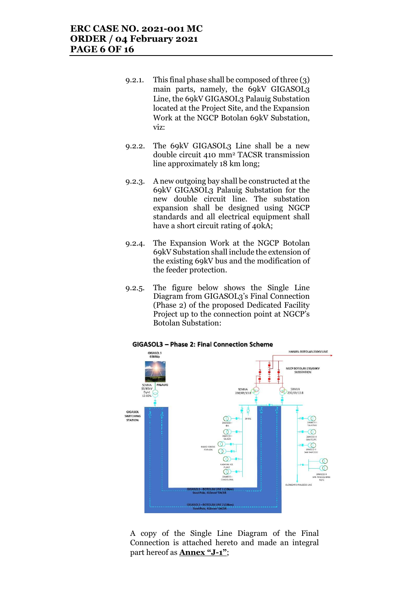- 9.2.1. This final phase shall be composed of three (3) main parts, namely, the 69kV GIGASOL3 Line, the 69kV GIGASOL3 Palauig Substation located at the Project Site, and the Expansion Work at the NGCP Botolan 69kV Substation, viz:
- 9.2.2. The 69kV GIGASOL3 Line shall be a new double circuit 410 mm<sup>2</sup> TACSR transmission line approximately 18 km long;
- 9.2.3. A new outgoing bay shall be constructed at the 69kV GIGASOL3 Palauig Substation for the new double circuit line. The substation expansion shall be designed using NGCP standards and all electrical equipment shall have a short circuit rating of 40kA;
- 9.2.4. The Expansion Work at the NGCP Botolan 69kV Substation shall include the extension of the existing 69kV bus and the modification of the feeder protection.
- 9.2.5. The figure below shows the Single Line Diagram from GIGASOL3's Final Connection (Phase 2) of the proposed Dedicated Facility Project up to the connection point at NGCP's Botolan Substation:



## A copy of the Single Line Diagram of the Final Connection is attached hereto and made an integral part hereof as **Annex "J-1"**;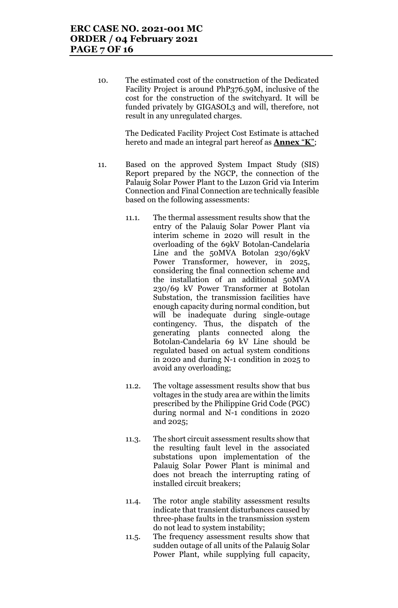10. The estimated cost of the construction of the Dedicated Facility Project is around PhP376.59M, inclusive of the cost for the construction of the switchyard. It will be funded privately by GIGASOL3 and will, therefore, not result in any unregulated charges.

> The Dedicated Facility Project Cost Estimate is attached hereto and made an integral part hereof as **Annex** "**K**";

- 11. Based on the approved System Impact Study (SIS) Report prepared by the NGCP, the connection of the Palauig Solar Power Plant to the Luzon Grid via Interim Connection and Final Connection are technically feasible based on the following assessments:
	- 11.1. The thermal assessment results show that the entry of the Palauig Solar Power Plant via interim scheme in 2020 will result in the overloading of the 69kV Botolan-Candelaria Line and the 50MVA Botolan 230/69kV Power Transformer, however, in 2025, considering the final connection scheme and the installation of an additional 50MVA 230/69 kV Power Transformer at Botolan Substation, the transmission facilities have enough capacity during normal condition, but will be inadequate during single-outage contingency. Thus, the dispatch of the generating plants connected along the Botolan-Candelaria 69 kV Line should be regulated based on actual system conditions in 2020 and during N-1 condition in 2025 to avoid any overloading;
	- 11.2. The voltage assessment results show that bus voltages in the study area are within the limits prescribed by the Philippine Grid Code (PGC) during normal and N-1 conditions in 2020 and 2025;
	- 11.3. The short circuit assessment results show that the resulting fault level in the associated substations upon implementation of the Palauig Solar Power Plant is minimal and does not breach the interrupting rating of installed circuit breakers;
	- 11.4. The rotor angle stability assessment results indicate that transient disturbances caused by three-phase faults in the transmission system do not lead to system instability;
	- 11.5. The frequency assessment results show that sudden outage of all units of the Palauig Solar Power Plant, while supplying full capacity,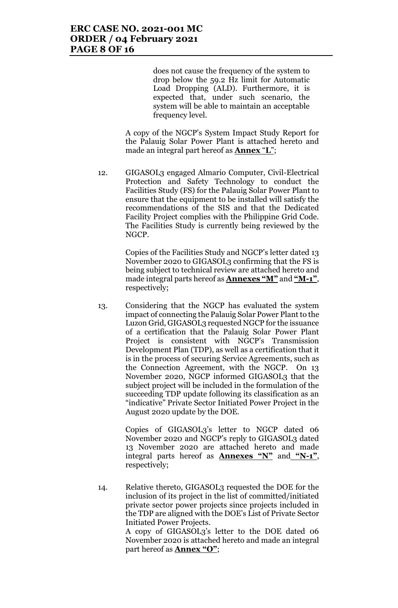does not cause the frequency of the system to drop below the 59.2 Hz limit for Automatic Load Dropping (ALD). Furthermore, it is expected that, under such scenario, the system will be able to maintain an acceptable frequency level.

A copy of the NGCP's System Impact Study Report for the Palauig Solar Power Plant is attached hereto and made an integral part hereof as **Annex** "**L**";

12. GIGASOL3 engaged Almario Computer, Civil-Electrical Protection and Safety Technology to conduct the Facilities Study (FS) for the Palauig Solar Power Plant to ensure that the equipment to be installed will satisfy the recommendations of the SIS and that the Dedicated Facility Project complies with the Philippine Grid Code. The Facilities Study is currently being reviewed by the NGCP.

> Copies of the Facilities Study and NGCP's letter dated 13 November 2020 to GIGASOL3 confirming that the FS is being subject to technical review are attached hereto and made integral parts hereof as **Annexes "M"** and **"M-1"**, respectively;

13. Considering that the NGCP has evaluated the system impact of connecting the Palauig Solar Power Plant to the Luzon Grid, GIGASOL3 requested NGCP for the issuance of a certification that the Palauig Solar Power Plant Project is consistent with NGCP's Transmission Development Plan (TDP), as well as a certification that it is in the process of securing Service Agreements, such as the Connection Agreement, with the NGCP. On 13 November 2020, NGCP informed GIGASOL3 that the subject project will be included in the formulation of the succeeding TDP update following its classification as an "indicative" Private Sector Initiated Power Project in the August 2020 update by the DOE.

> Copies of GIGASOL3's letter to NGCP dated 06 November 2020 and NGCP's reply to GIGASOL3 dated 13 November 2020 are attached hereto and made integral parts hereof as **Annexes "N"** and **"N-1"**, respectively;

14. Relative thereto, GIGASOL3 requested the DOE for the inclusion of its project in the list of committed/initiated private sector power projects since projects included in the TDP are aligned with the DOE's List of Private Sector Initiated Power Projects.

A copy of GIGASOL3's letter to the DOE dated 06 November 2020 is attached hereto and made an integral part hereof as **Annex "O"**;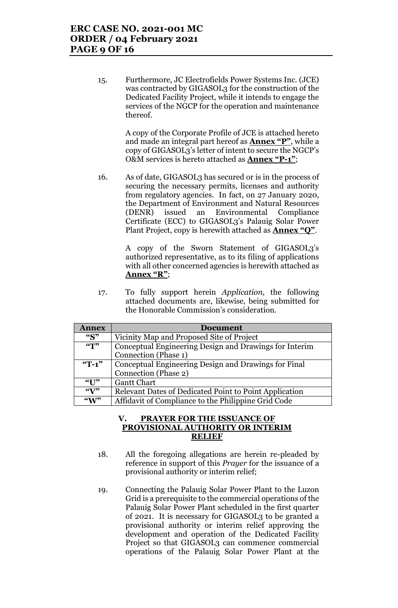15. Furthermore, JC Electrofields Power Systems Inc. (JCE) was contracted by GIGASOL3 for the construction of the Dedicated Facility Project, while it intends to engage the services of the NGCP for the operation and maintenance thereof.

> A copy of the Corporate Profile of JCE is attached hereto and made an integral part hereof as **Annex "P"**, while a copy of GIGASOL3's letter of intent to secure the NGCP's O&M services is hereto attached as **Annex "P-1"**;

16. As of date, GIGASOL3 has secured or is in the process of securing the necessary permits, licenses and authority from regulatory agencies. In fact, on 27 January 2020, the Department of Environment and Natural Resources (DENR) issued an Environmental Compliance Certificate (ECC) to GIGASOL3's Palauig Solar Power Plant Project, copy is herewith attached as **Annex "Q"**.

> A copy of the Sworn Statement of GIGASOL3's authorized representative, as to its filing of applications with all other concerned agencies is herewith attached as **Annex "R"**;

17. To fully support herein *Application*, the following attached documents are, likewise, being submitted for the Honorable Commission's consideration.

| <b>Annex</b>                | <b>Document</b>                                        |  |  |
|-----------------------------|--------------------------------------------------------|--|--|
| ``S"                        | Vicinity Map and Proposed Site of Project              |  |  |
| $\frac{1}{2}$               | Conceptual Engineering Design and Drawings for Interim |  |  |
|                             | Connection (Phase 1)                                   |  |  |
| $\mathrm{``T-1''}$          | Conceptual Engineering Design and Drawings for Final   |  |  |
|                             | Connection (Phase 2)                                   |  |  |
| $\mathcal{C}$ $\mathcal{L}$ | <b>Gantt Chart</b>                                     |  |  |
| $\mathcal{C}(\mathbf{V})$   | Relevant Dates of Dedicated Point to Point Application |  |  |
| $\mathcal{L}(\mathbf{M})$   | Affidavit of Compliance to the Philippine Grid Code    |  |  |

#### **V. PRAYER FOR THE ISSUANCE OF PROVISIONAL AUTHORITY OR INTERIM RELIEF**

- 18. All the foregoing allegations are herein re-pleaded by reference in support of this *Prayer* for the issuance of a provisional authority or interim relief;
- 19. Connecting the Palauig Solar Power Plant to the Luzon Grid is a prerequisite to the commercial operations of the Palauig Solar Power Plant scheduled in the first quarter of 2021. It is necessary for GIGASOL3 to be granted a provisional authority or interim relief approving the development and operation of the Dedicated Facility Project so that GIGASOL3 can commence commercial operations of the Palauig Solar Power Plant at the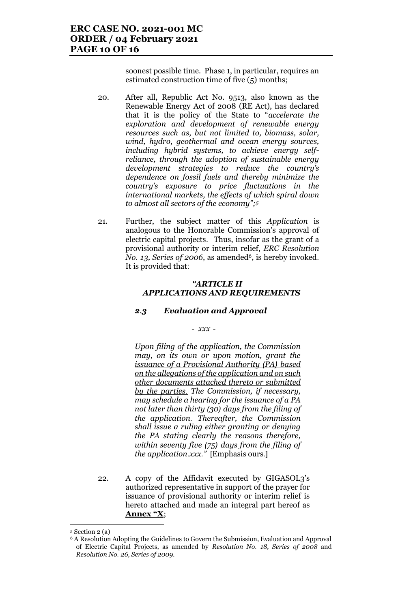soonest possible time. Phase 1, in particular, requires an estimated construction time of five (5) months;

- 20. After all, Republic Act No. 9513, also known as the Renewable Energy Act of 2008 (RE Act), has declared that it is the policy of the State to "*accelerate the exploration and development of renewable energy resources such as, but not limited to, biomass, solar, wind, hydro, geothermal and ocean energy sources, including hybrid systems, to achieve energy selfreliance, through the adoption of sustainable energy development strategies to reduce the country's dependence on fossil fuels and thereby minimize the country's exposure to price fluctuations in the international markets, the effects of which spiral down to almost all sectors of the economy";<sup>5</sup>*
- 21. Further, the subject matter of this *Application* is analogous to the Honorable Commission's approval of electric capital projects. Thus, insofar as the grant of a provisional authority or interim relief, *ERC Resolution No.* 13, *Series of 2006*, as amended<sup>6</sup>, is hereby invoked. It is provided that:

#### *"ARTICLE II APPLICATIONS AND REQUIREMENTS*

## *2.3 Evaluation and Approval*

*- xxx -*

*Upon filing of the application, the Commission may, on its own or upon motion, grant the issuance of a Provisional Authority (PA) based on the allegations of the application and on such other documents attached thereto or submitted by the parties. The Commission, if necessary, may schedule a hearing for the issuance of a PA not later than thirty (30) days from the filing of the application. Thereafter, the Commission shall issue a ruling either granting or denying the PA stating clearly the reasons therefore, within seventy five (75) days from the filing of the application.xxx."* [Emphasis ours.]

22. A copy of the Affidavit executed by GIGASOL3's authorized representative in support of the prayer for issuance of provisional authority or interim relief is hereto attached and made an integral part hereof as **Annex "X**;

 $\overline{\phantom{a}}$ 

<sup>5</sup> Section 2 (a)

<sup>6</sup> A Resolution Adopting the Guidelines to Govern the Submission, Evaluation and Approval of Electric Capital Projects, as amended by *Resolution No. 18, Series of 2008* and *Resolution No. 26, Series of 2009.*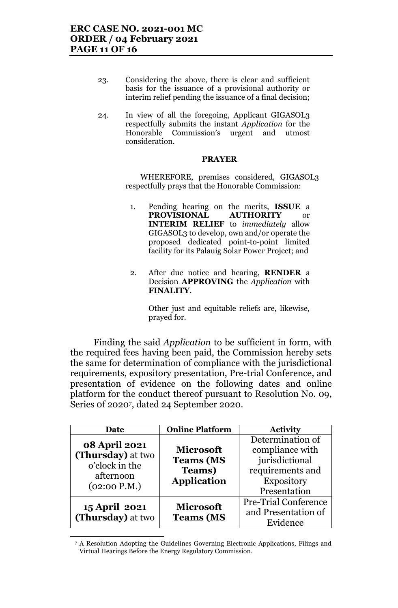- 23. Considering the above, there is clear and sufficient basis for the issuance of a provisional authority or interim relief pending the issuance of a final decision;
- 24. In view of all the foregoing, Applicant GIGASOL3 respectfully submits the instant *Application* for the Honorable Commission's urgent and utmost consideration.

#### **PRAYER**

WHEREFORE, premises considered, GIGASOL3 respectfully prays that the Honorable Commission:

- 1. Pending hearing on the merits, **ISSUE** a **PROVISIONAL AUTHORITY** or **INTERIM RELIEF** to *immediately* allow GIGASOL3 to develop, own and/or operate the proposed dedicated point-to-point limited facility for its Palauig Solar Power Project; and
- 2. After due notice and hearing, **RENDER** a Decision **APPROVING** the *Application* with **FINALITY**.

Other just and equitable reliefs are, likewise, prayed for.

Finding the said *Application* to be sufficient in form, with the required fees having been paid, the Commission hereby sets the same for determination of compliance with the jurisdictional requirements, expository presentation, Pre-trial Conference, and presentation of evidence on the following dates and online platform for the conduct thereof pursuant to Resolution No. 09, Series 0f 2020<sup>7</sup> , dated 24 September 2020.

| Date                                      | <b>Online Platform</b> | <b>Activity</b>             |
|-------------------------------------------|------------------------|-----------------------------|
|                                           |                        | Determination of            |
| <b>08 April 2021</b><br>(Thursday) at two | <b>Microsoft</b>       | compliance with             |
| o'clock in the                            | <b>Teams (MS</b>       | jurisdictional              |
| afternoon                                 | <b>Teams</b> )         | requirements and            |
|                                           | <b>Application</b>     | <b>Expository</b>           |
| (02:00 P.M.)                              |                        | Presentation                |
| 15 April 2021                             | <b>Microsoft</b>       | <b>Pre-Trial Conference</b> |
| (Thursday) at two                         | <b>Teams (MS</b>       | and Presentation of         |
|                                           |                        | Evidence                    |

<sup>7</sup> A Resolution Adopting the Guidelines Governing Electronic Applications, Filings and Virtual Hearings Before the Energy Regulatory Commission.

 $\overline{a}$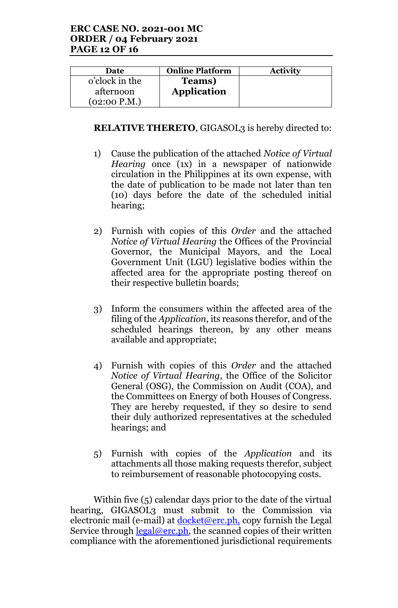| <b>Date</b>    | <b>Online Platform</b> | <b>Activity</b> |
|----------------|------------------------|-----------------|
| o'clock in the | Teams)                 |                 |
| afternoon      | <b>Application</b>     |                 |
| (02:00 P.M.)   |                        |                 |

# **RELATIVE THERETO, GIGASOL3** is hereby directed to:

- 1) Cause the publication of the attached *Notice of Virtual Hearing* once (1x) in a newspaper of nationwide circulation in the Philippines at its own expense, with the date of publication to be made not later than ten (10) days before the date of the scheduled initial hearing;
- 2) Furnish with copies of this *Order* and the attached *Notice of Virtual Hearing* the Offices of the Provincial Governor, the Municipal Mayors, and the Local Government Unit (LGU) legislative bodies within the affected area for the appropriate posting thereof on their respective bulletin boards;
- 3) Inform the consumers within the affected area of the filing of the *Application*, its reasons therefor, and of the scheduled hearings thereon, by any other means available and appropriate;
- 4) Furnish with copies of this *Order* and the attached *Notice of Virtual Hearing*, the Office of the Solicitor General (OSG), the Commission on Audit (COA), and the Committees on Energy of both Houses of Congress. They are hereby requested, if they so desire to send their duly authorized representatives at the scheduled hearings; and
- 5) Furnish with copies of the *Application* and its attachments all those making requests therefor, subject to reimbursement of reasonable photocopying costs.

Within five (5) calendar days prior to the date of the virtual hearing, GIGASOL3 must submit to the Commission via electronic mail (e-mail) at <u>docket@erc.ph</u>, copy furnish the Legal Service through  $\frac{\text{legal@erc.ph}}{\text{begin}}$ , the scanned copies of their written compliance with the aforementioned jurisdictional requirements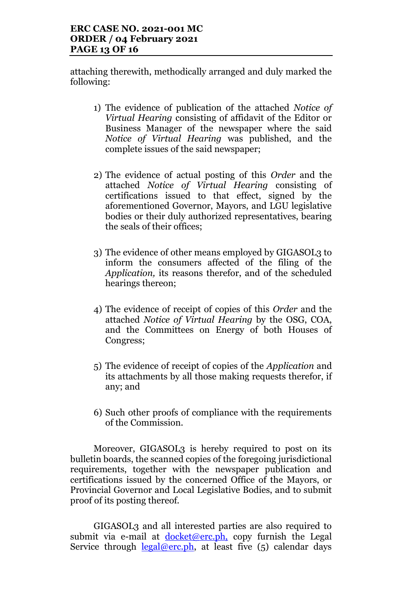attaching therewith, methodically arranged and duly marked the following:

- 1) The evidence of publication of the attached *Notice of Virtual Hearing* consisting of affidavit of the Editor or Business Manager of the newspaper where the said *Notice of Virtual Hearing* was published, and the complete issues of the said newspaper;
- 2) The evidence of actual posting of this *Order* and the attached *Notice of Virtual Hearing* consisting of certifications issued to that effect, signed by the aforementioned Governor, Mayors, and LGU legislative bodies or their duly authorized representatives, bearing the seals of their offices;
- 3) The evidence of other means employed by GIGASOL3 to inform the consumers affected of the filing of the *Application,* its reasons therefor, and of the scheduled hearings thereon;
- 4) The evidence of receipt of copies of this *Order* and the attached *Notice of Virtual Hearing* by the OSG, COA, and the Committees on Energy of both Houses of Congress;
- 5) The evidence of receipt of copies of the *Application* and its attachments by all those making requests therefor, if any; and
- 6) Such other proofs of compliance with the requirements of the Commission.

Moreover, GIGASOL3 is hereby required to post on its bulletin boards, the scanned copies of the foregoing jurisdictional requirements, together with the newspaper publication and certifications issued by the concerned Office of the Mayors, or Provincial Governor and Local Legislative Bodies, and to submit proof of its posting thereof.

GIGASOL3 and all interested parties are also required to submit via e-mail at  $doeket@erc.php$ , copy furnish the Legal Service through  $\frac{\text{legal@erc.ph}}{\text{legal@erc.ph}}$ , at least five (5) calendar days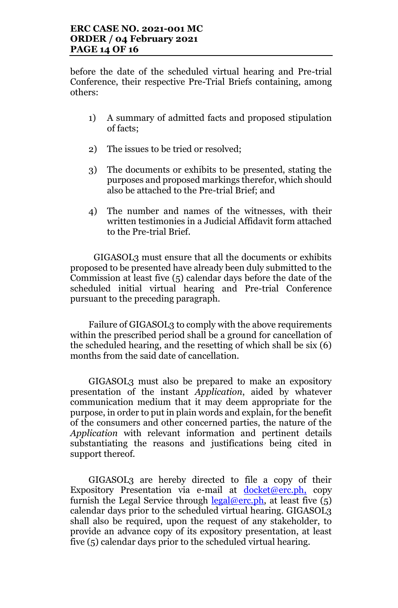before the date of the scheduled virtual hearing and Pre-trial Conference, their respective Pre-Trial Briefs containing, among others:

- 1) A summary of admitted facts and proposed stipulation of facts;
- 2) The issues to be tried or resolved;
- 3) The documents or exhibits to be presented, stating the purposes and proposed markings therefor, which should also be attached to the Pre-trial Brief; and
- 4) The number and names of the witnesses, with their written testimonies in a Judicial Affidavit form attached to the Pre-trial Brief.

GIGASOL3 must ensure that all the documents or exhibits proposed to be presented have already been duly submitted to the Commission at least five (5) calendar days before the date of the scheduled initial virtual hearing and Pre-trial Conference pursuant to the preceding paragraph.

Failure of GIGASOL3 to comply with the above requirements within the prescribed period shall be a ground for cancellation of the scheduled hearing, and the resetting of which shall be six (6) months from the said date of cancellation.

GIGASOL3 must also be prepared to make an expository presentation of the instant *Application*, aided by whatever communication medium that it may deem appropriate for the purpose, in order to put in plain words and explain, for the benefit of the consumers and other concerned parties, the nature of the *Application* with relevant information and pertinent details substantiating the reasons and justifications being cited in support thereof.

GIGASOL3 are hereby directed to file a copy of their Expository Presentation via e-mail at docket@erc.ph, copy furnish the Legal Service through  $\frac{\text{legal@erc}, \text{ph}}{\text{level}}$ , at least five (5) calendar days prior to the scheduled virtual hearing. GIGASOL3 shall also be required, upon the request of any stakeholder, to provide an advance copy of its expository presentation, at least five (5) calendar days prior to the scheduled virtual hearing.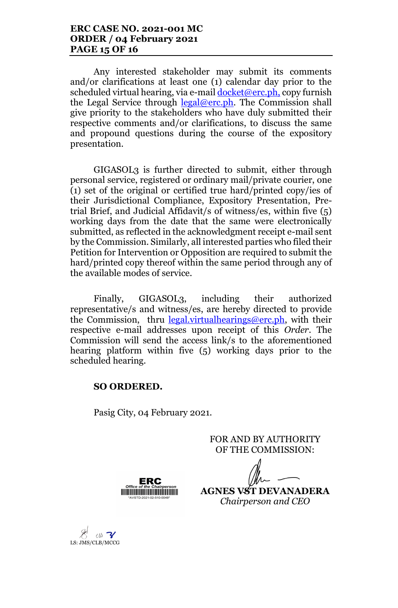Any interested stakeholder may submit its comments and/or clarifications at least one (1) calendar day prior to the scheduled virtual hearing, via e-mail docket@erc.ph, copy furnish the Legal Service through  $\text{legal@erc}, \text{ph}$ . The Commission shall give priority to the stakeholders who have duly submitted their respective comments and/or clarifications, to discuss the same and propound questions during the course of the expository presentation.

GIGASOL3 is further directed to submit, either through personal service, registered or ordinary mail/private courier, one (1) set of the original or certified true hard/printed copy/ies of their Jurisdictional Compliance, Expository Presentation, Pretrial Brief, and Judicial Affidavit/s of witness/es, within five (5) working days from the date that the same were electronically submitted, as reflected in the acknowledgment receipt e-mail sent by the Commission. Similarly, all interested parties who filed their Petition for Intervention or Opposition are required to submit the hard/printed copy thereof within the same period through any of the available modes of service.

Finally, GIGASOL3, including their authorized representative/s and witness/es, are hereby directed to provide the Commission, thru legal.virtualhearings@erc.ph, with their respective e-mail addresses upon receipt of this *Order*. The Commission will send the access link/s to the aforementioned hearing platform within five (5) working days prior to the scheduled hearing.

## **SO ORDERED.**

Pasig City, 04 February 2021.

FOR AND BY AUTHORITY OF THE COMMISSION:

ERC **HILLING COMMUNIST STATE** 

**AGNES VST DEVANADERA** *Chairperson and CEO*

 $\ell$ sh  $\mathcal{V}$ LS: JMS/CLB/MCCG